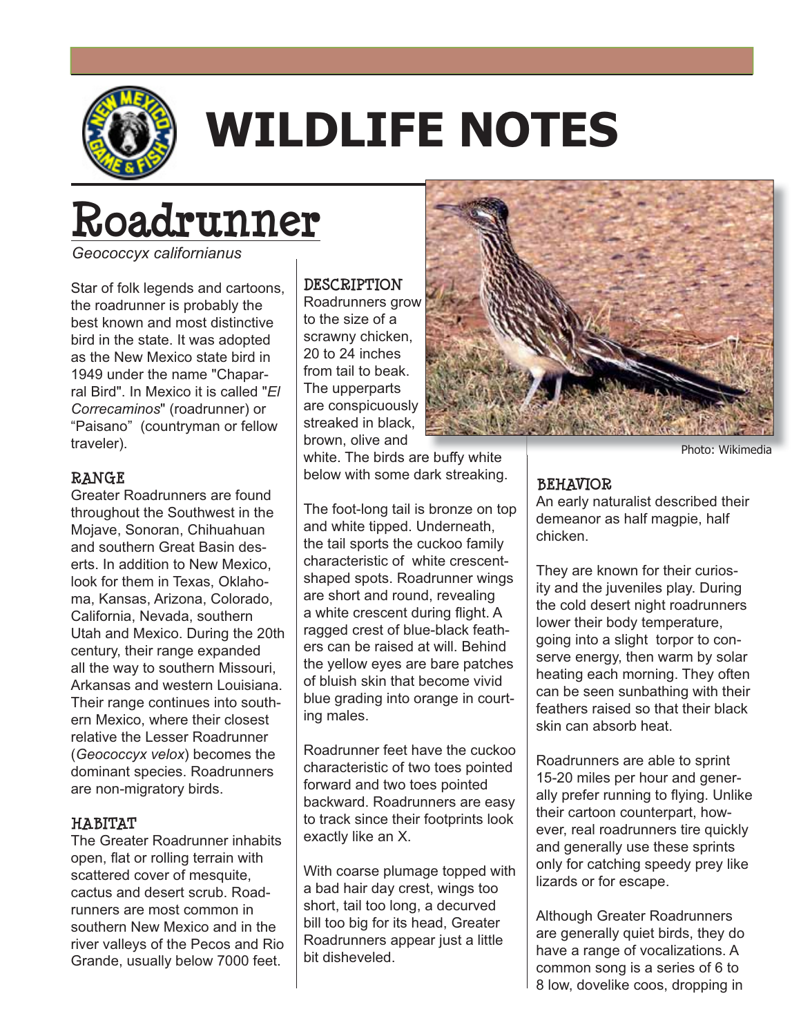

# **WILDLIFE NOTES**

# **Roadrunner**

*Geococcyx californianus* 

Star of folk legends and cartoons, the roadrunner is probably the best known and most distinctive bird in the state. It was adopted as the New Mexico state bird in 1949 under the name "Chaparral Bird". In Mexico it is called "*El Correcaminos*" (roadrunner) or "Paisano" (countryman or fellow traveler).

# **RANGE**

Greater Roadrunners are found throughout the Southwest in the Mojave, Sonoran, Chihuahuan and southern Great Basin deserts. In addition to New Mexico, look for them in Texas, Oklahoma, Kansas, Arizona, Colorado, California, Nevada, southern Utah and Mexico. During the 20th century, their range expanded all the way to southern Missouri, Arkansas and western Louisiana. Their range continues into southern Mexico, where their closest relative the Lesser Roadrunner (*Geococcyx velox*) becomes the dominant species. Roadrunners are non-migratory birds.

# **HABITAT**

The Greater Roadrunner inhabits open, flat or rolling terrain with scattered cover of mesquite, cactus and desert scrub. Roadrunners are most common in southern New Mexico and in the river valleys of the Pecos and Rio Grande, usually below 7000 feet.

#### **DESCRIPTION**

Roadrunners grow to the size of a scrawny chicken, 20 to 24 inches from tail to beak. The upperparts are conspicuously streaked in black, brown, olive and

white. The birds are buffy white below with some dark streaking.

The foot-long tail is bronze on top and white tipped. Underneath, the tail sports the cuckoo family characteristic of white crescentshaped spots. Roadrunner wings are short and round, revealing a white crescent during flight. A ragged crest of blue-black feathers can be raised at will. Behind the yellow eyes are bare patches of bluish skin that become vivid blue grading into orange in courting males.

Roadrunner feet have the cuckoo characteristic of two toes pointed forward and two toes pointed backward. Roadrunners are easy to track since their footprints look exactly like an X.

With coarse plumage topped with a bad hair day crest, wings too short, tail too long, a decurved bill too big for its head, Greater Roadrunners appear just a little bit disheveled.



Photo: Wikimedia

# **BEHAVIOR**

An early naturalist described their demeanor as half magpie, half chicken.

They are known for their curiosity and the juveniles play. During the cold desert night roadrunners lower their body temperature, going into a slight torpor to conserve energy, then warm by solar heating each morning. They often can be seen sunbathing with their feathers raised so that their black skin can absorb heat.

Roadrunners are able to sprint 15-20 miles per hour and generally prefer running to flying. Unlike their cartoon counterpart, however, real roadrunners tire quickly and generally use these sprints only for catching speedy prey like lizards or for escape.

Although Greater Roadrunners are generally quiet birds, they do have a range of vocalizations. A common song is a series of 6 to 8 low, dovelike coos, dropping in